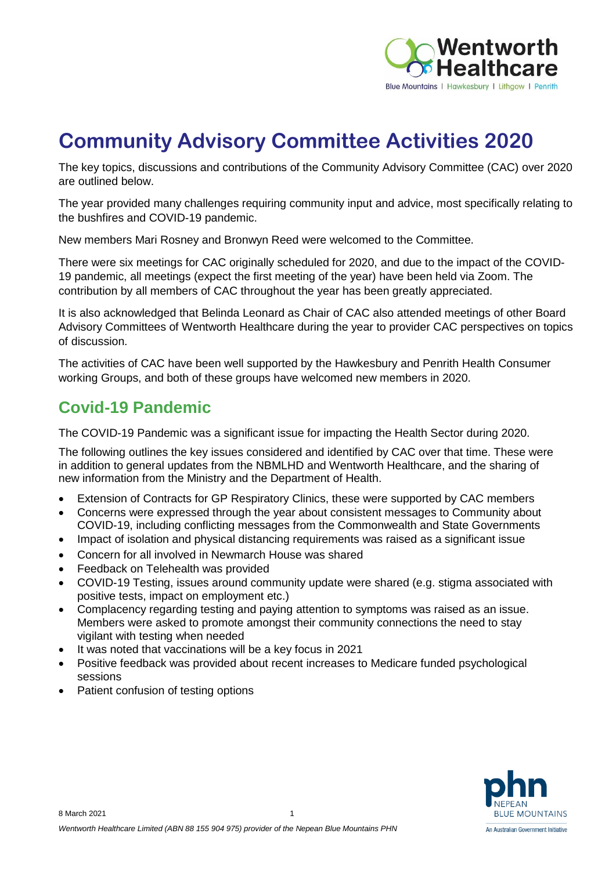

# **Community Advisory Committee Activities 2020**

The key topics, discussions and contributions of the Community Advisory Committee (CAC) over 2020 are outlined below.

The year provided many challenges requiring community input and advice, most specifically relating to the bushfires and COVID-19 pandemic.

New members Mari Rosney and Bronwyn Reed were welcomed to the Committee.

There were six meetings for CAC originally scheduled for 2020, and due to the impact of the COVID-19 pandemic, all meetings (expect the first meeting of the year) have been held via Zoom. The contribution by all members of CAC throughout the year has been greatly appreciated.

It is also acknowledged that Belinda Leonard as Chair of CAC also attended meetings of other Board Advisory Committees of Wentworth Healthcare during the year to provider CAC perspectives on topics of discussion.

The activities of CAC have been well supported by the Hawkesbury and Penrith Health Consumer working Groups, and both of these groups have welcomed new members in 2020.

#### **Covid-19 Pandemic**

The COVID-19 Pandemic was a significant issue for impacting the Health Sector during 2020.

The following outlines the key issues considered and identified by CAC over that time. These were in addition to general updates from the NBMLHD and Wentworth Healthcare, and the sharing of new information from the Ministry and the Department of Health.

- Extension of Contracts for GP Respiratory Clinics, these were supported by CAC members
- Concerns were expressed through the year about consistent messages to Community about COVID-19, including conflicting messages from the Commonwealth and State Governments
- Impact of isolation and physical distancing requirements was raised as a significant issue
- Concern for all involved in Newmarch House was shared
- Feedback on Telehealth was provided
- COVID-19 Testing, issues around community update were shared (e.g. stigma associated with positive tests, impact on employment etc.)
- Complacency regarding testing and paying attention to symptoms was raised as an issue. Members were asked to promote amongst their community connections the need to stay vigilant with testing when needed
- It was noted that vaccinations will be a key focus in 2021
- Positive feedback was provided about recent increases to Medicare funded psychological sessions
- Patient confusion of testing options

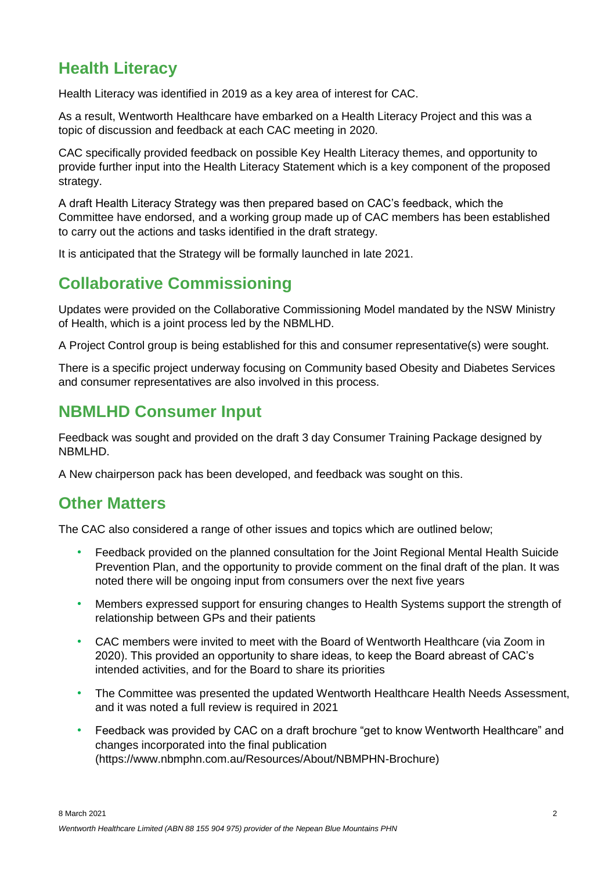# **Health Literacy**

Health Literacy was identified in 2019 as a key area of interest for CAC.

As a result, Wentworth Healthcare have embarked on a Health Literacy Project and this was a topic of discussion and feedback at each CAC meeting in 2020.

CAC specifically provided feedback on possible Key Health Literacy themes, and opportunity to provide further input into the Health Literacy Statement which is a key component of the proposed strategy.

A draft Health Literacy Strategy was then prepared based on CAC's feedback, which the Committee have endorsed, and a working group made up of CAC members has been established to carry out the actions and tasks identified in the draft strategy.

It is anticipated that the Strategy will be formally launched in late 2021.

## **Collaborative Commissioning**

Updates were provided on the Collaborative Commissioning Model mandated by the NSW Ministry of Health, which is a joint process led by the NBMLHD.

A Project Control group is being established for this and consumer representative(s) were sought.

There is a specific project underway focusing on Community based Obesity and Diabetes Services and consumer representatives are also involved in this process.

### **NBMLHD Consumer Input**

Feedback was sought and provided on the draft 3 day Consumer Training Package designed by NBMLHD.

A New chairperson pack has been developed, and feedback was sought on this.

### **Other Matters**

The CAC also considered a range of other issues and topics which are outlined below;

- Feedback provided on the planned consultation for the Joint Regional Mental Health Suicide Prevention Plan, and the opportunity to provide comment on the final draft of the plan. It was noted there will be ongoing input from consumers over the next five years
- Members expressed support for ensuring changes to Health Systems support the strength of relationship between GPs and their patients
- CAC members were invited to meet with the Board of Wentworth Healthcare (via Zoom in 2020). This provided an opportunity to share ideas, to keep the Board abreast of CAC's intended activities, and for the Board to share its priorities
- The Committee was presented the updated Wentworth Healthcare Health Needs Assessment, and it was noted a full review is required in 2021
- Feedback was provided by CAC on a draft brochure "get to know Wentworth Healthcare" and changes incorporated into the final publication (https://www.nbmphn.com.au/Resources/About/NBMPHN-Brochure)